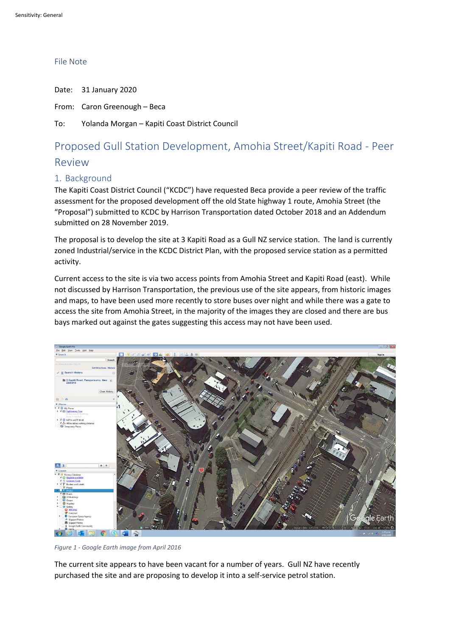## File Note

Date: 31 January 2020 From: Caron Greenough – Beca To: Yolanda Morgan – Kapiti Coast District Council

# Proposed Gull Station Development, Amohia Street/Kapiti Road - Peer

## Review

## 1. Background

The Kapiti Coast District Council ("KCDC") have requested Beca provide a peer review of the traffic assessment for the proposed development off the old State highway 1 route, Amohia Street (the "Proposal") submitted to KCDC by Harrison Transportation dated October 2018 and an Addendum submitted on 28 November 2019.

The proposal is to develop the site at 3 Kapiti Road as a Gull NZ service station. The land is currently zoned Industrial/service in the KCDC District Plan, with the proposed service station as a permitted activity.

Current access to the site is via two access points from Amohia Street and Kapiti Road (east). While not discussed by Harrison Transportation, the previous use of the site appears, from historic images and maps, to have been used more recently to store buses over night and while there was a gate to access the site from Amohia Street, in the majority of the images they are closed and there are bus bays marked out against the gates suggesting this access may not have been used.



*Figure 1 - Google Earth image from April 2016*

The current site appears to have been vacant for a number of years. Gull NZ have recently purchased the site and are proposing to develop it into a self-service petrol station.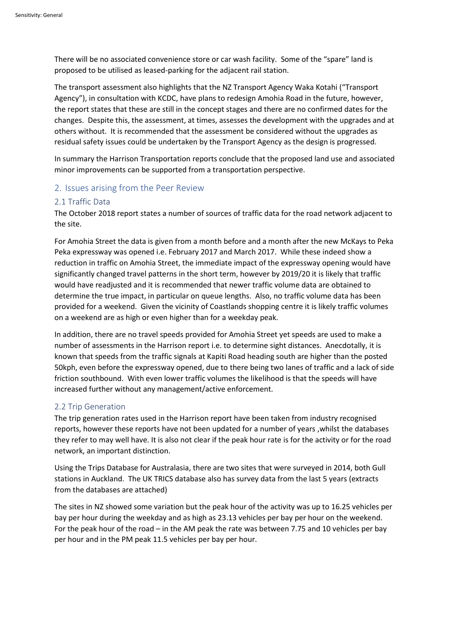There will be no associated convenience store or car wash facility. Some of the "spare" land is proposed to be utilised as leased-parking for the adjacent rail station.

The transport assessment also highlights that the NZ Transport Agency Waka Kotahi ("Transport Agency"), in consultation with KCDC, have plans to redesign Amohia Road in the future, however, the report states that these are still in the concept stages and there are no confirmed dates for the changes. Despite this, the assessment, at times, assesses the development with the upgrades and at others without. It is recommended that the assessment be considered without the upgrades as residual safety issues could be undertaken by the Transport Agency as the design is progressed.

In summary the Harrison Transportation reports conclude that the proposed land use and associated minor improvements can be supported from a transportation perspective.

## 2. Issues arising from the Peer Review

## 2.1 Traffic Data

The October 2018 report states a number of sources of traffic data for the road network adjacent to the site.

For Amohia Street the data is given from a month before and a month after the new McKays to Peka Peka expressway was opened i.e. February 2017 and March 2017. While these indeed show a reduction in traffic on Amohia Street, the immediate impact of the expressway opening would have significantly changed travel patterns in the short term, however by 2019/20 it is likely that traffic would have readjusted and it is recommended that newer traffic volume data are obtained to determine the true impact, in particular on queue lengths. Also, no traffic volume data has been provided for a weekend. Given the vicinity of Coastlands shopping centre it is likely traffic volumes on a weekend are as high or even higher than for a weekday peak.

In addition, there are no travel speeds provided for Amohia Street yet speeds are used to make a number of assessments in the Harrison report i.e. to determine sight distances. Anecdotally, it is known that speeds from the traffic signals at Kapiti Road heading south are higher than the posted 50kph, even before the expressway opened, due to there being two lanes of traffic and a lack of side friction southbound. With even lower traffic volumes the likelihood is that the speeds will have increased further without any management/active enforcement.

#### 2.2 Trip Generation

The trip generation rates used in the Harrison report have been taken from industry recognised reports, however these reports have not been updated for a number of years ,whilst the databases they refer to may well have. It is also not clear if the peak hour rate is for the activity or for the road network, an important distinction.

Using the Trips Database for Australasia, there are two sites that were surveyed in 2014, both Gull stations in Auckland. The UK TRICS database also has survey data from the last 5 years (extracts from the databases are attached)

The sites in NZ showed some variation but the peak hour of the activity was up to 16.25 vehicles per bay per hour during the weekday and as high as 23.13 vehicles per bay per hour on the weekend. For the peak hour of the road – in the AM peak the rate was between 7.75 and 10 vehicles per bay per hour and in the PM peak 11.5 vehicles per bay per hour.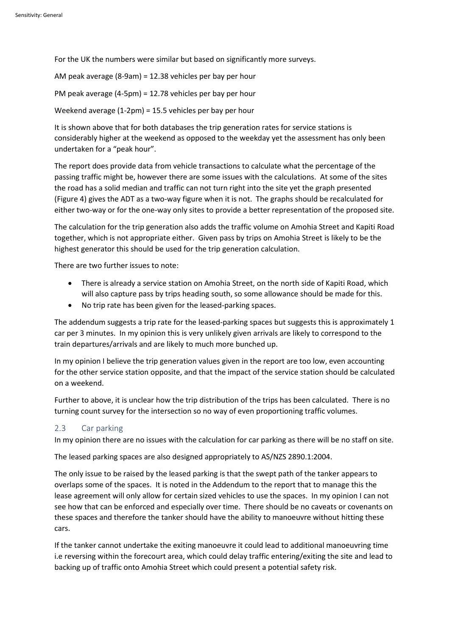For the UK the numbers were similar but based on significantly more surveys.

AM peak average (8-9am) = 12.38 vehicles per bay per hour PM peak average (4-5pm) = 12.78 vehicles per bay per hour Weekend average (1-2pm) = 15.5 vehicles per bay per hour

It is shown above that for both databases the trip generation rates for service stations is considerably higher at the weekend as opposed to the weekday yet the assessment has only been undertaken for a "peak hour".

The report does provide data from vehicle transactions to calculate what the percentage of the passing traffic might be, however there are some issues with the calculations. At some of the sites the road has a solid median and traffic can not turn right into the site yet the graph presented (Figure 4) gives the ADT as a two-way figure when it is not. The graphs should be recalculated for either two-way or for the one-way only sites to provide a better representation of the proposed site.

The calculation for the trip generation also adds the traffic volume on Amohia Street and Kapiti Road together, which is not appropriate either. Given pass by trips on Amohia Street is likely to be the highest generator this should be used for the trip generation calculation.

There are two further issues to note:

- There is already a service station on Amohia Street, on the north side of Kapiti Road, which will also capture pass by trips heading south, so some allowance should be made for this.
- No trip rate has been given for the leased-parking spaces.

The addendum suggests a trip rate for the leased-parking spaces but suggests this is approximately 1 car per 3 minutes. In my opinion this is very unlikely given arrivals are likely to correspond to the train departures/arrivals and are likely to much more bunched up.

In my opinion I believe the trip generation values given in the report are too low, even accounting for the other service station opposite, and that the impact of the service station should be calculated on a weekend.

Further to above, it is unclear how the trip distribution of the trips has been calculated. There is no turning count survey for the intersection so no way of even proportioning traffic volumes.

## 2.3 Car parking

In my opinion there are no issues with the calculation for car parking as there will be no staff on site.

The leased parking spaces are also designed appropriately to AS/NZS 2890.1:2004.

The only issue to be raised by the leased parking is that the swept path of the tanker appears to overlaps some of the spaces. It is noted in the Addendum to the report that to manage this the lease agreement will only allow for certain sized vehicles to use the spaces. In my opinion I can not see how that can be enforced and especially over time. There should be no caveats or covenants on these spaces and therefore the tanker should have the ability to manoeuvre without hitting these cars.

If the tanker cannot undertake the exiting manoeuvre it could lead to additional manoeuvring time i.e reversing within the forecourt area, which could delay traffic entering/exiting the site and lead to backing up of traffic onto Amohia Street which could present a potential safety risk.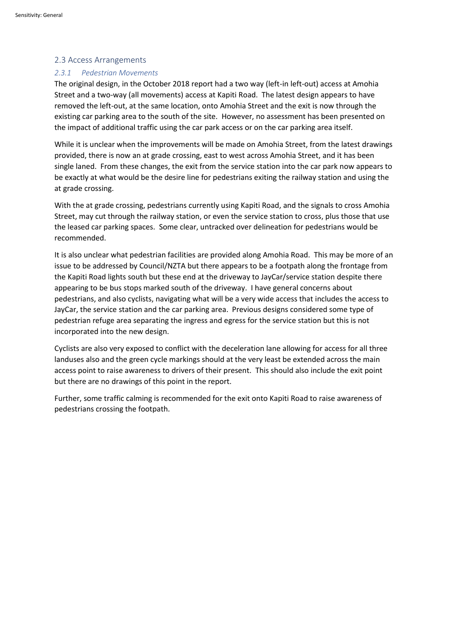## 2.3 Access Arrangements

## *2.3.1 Pedestrian Movements*

The original design, in the October 2018 report had a two way (left-in left-out) access at Amohia Street and a two-way (all movements) access at Kapiti Road. The latest design appears to have removed the left-out, at the same location, onto Amohia Street and the exit is now through the existing car parking area to the south of the site. However, no assessment has been presented on the impact of additional traffic using the car park access or on the car parking area itself.

While it is unclear when the improvements will be made on Amohia Street, from the latest drawings provided, there is now an at grade crossing, east to west across Amohia Street, and it has been single laned. From these changes, the exit from the service station into the car park now appears to be exactly at what would be the desire line for pedestrians exiting the railway station and using the at grade crossing.

With the at grade crossing, pedestrians currently using Kapiti Road, and the signals to cross Amohia Street, may cut through the railway station, or even the service station to cross, plus those that use the leased car parking spaces. Some clear, untracked over delineation for pedestrians would be recommended.

It is also unclear what pedestrian facilities are provided along Amohia Road. This may be more of an issue to be addressed by Council/NZTA but there appears to be a footpath along the frontage from the Kapiti Road lights south but these end at the driveway to JayCar/service station despite there appearing to be bus stops marked south of the driveway. I have general concerns about pedestrians, and also cyclists, navigating what will be a very wide access that includes the access to JayCar, the service station and the car parking area. Previous designs considered some type of pedestrian refuge area separating the ingress and egress for the service station but this is not incorporated into the new design.

Cyclists are also very exposed to conflict with the deceleration lane allowing for access for all three landuses also and the green cycle markings should at the very least be extended across the main access point to raise awareness to drivers of their present. This should also include the exit point but there are no drawings of this point in the report.

Further, some traffic calming is recommended for the exit onto Kapiti Road to raise awareness of pedestrians crossing the footpath.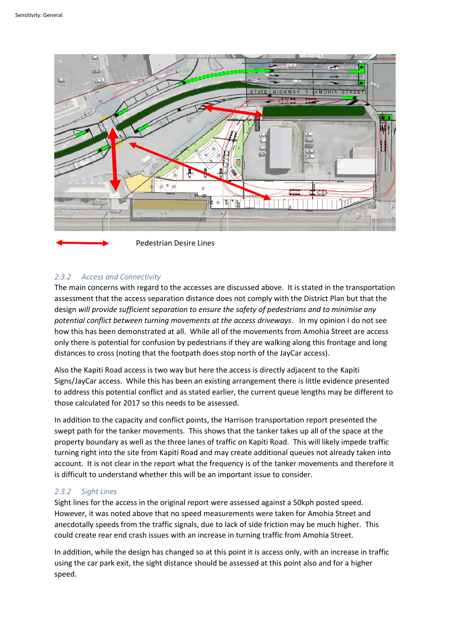

## *2.3.2 Access and Connectivity*

The main concerns with regard to the accesses are discussed above. It is stated in the transportation assessment that the access separation distance does not comply with the District Plan but that the design *will provide sufficient separation to ensure the safety of pedestrians and to minimise any potential conflict between turning movements at the access driveways*. In my opinion I do not see how this has been demonstrated at all. While all of the movements from Amohia Street are access only there is potential for confusion by pedestrians if they are walking along this frontage and long distances to cross (noting that the footpath does stop north of the JayCar access).

Also the Kapiti Road access is two way but here the access is directly adjacent to the Kapiti Signs/JayCar access. While this has been an existing arrangement there is little evidence presented to address this potential conflict and as stated earlier, the current queue lengths may be different to those calculated for 2017 so this needs to be assessed.

In addition to the capacity and conflict points, the Harrison transportation report presented the swept path for the tanker movements. This shows that the tanker takes up all of the space at the property boundary as well as the three lanes of traffic on Kapiti Road. This will likely impede traffic turning right into the site from Kapiti Road and may create additional queues not already taken into account. It is not clear in the report what the frequency is of the tanker movements and therefore it is difficult to understand whether this will be an important issue to consider.

## *2.3.2 Sight Lines*

Sight lines for the access in the original report were assessed against a 50kph posted speed. However, it was noted above that no speed measurements were taken for Amohia Street and anecdotally speeds from the traffic signals, due to lack of side friction may be much higher. This could create rear end crash issues with an increase in turning traffic from Amohia Street.

In addition, while the design has changed so at this point it is access only, with an increase in traffic using the car park exit, the sight distance should be assessed at this point also and for a higher speed.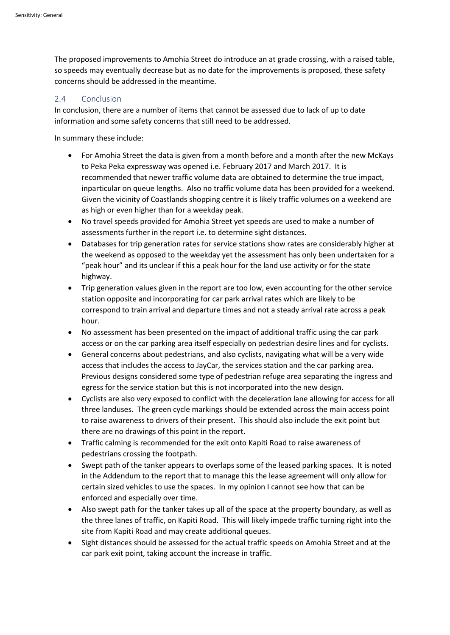The proposed improvements to Amohia Street do introduce an at grade crossing, with a raised table, so speeds may eventually decrease but as no date for the improvements is proposed, these safety concerns should be addressed in the meantime.

## 2.4 Conclusion

In conclusion, there are a number of items that cannot be assessed due to lack of up to date information and some safety concerns that still need to be addressed.

In summary these include:

- For Amohia Street the data is given from a month before and a month after the new McKays to Peka Peka expressway was opened i.e. February 2017 and March 2017. It is recommended that newer traffic volume data are obtained to determine the true impact, inparticular on queue lengths. Also no traffic volume data has been provided for a weekend. Given the vicinity of Coastlands shopping centre it is likely traffic volumes on a weekend are as high or even higher than for a weekday peak.
- No travel speeds provided for Amohia Street yet speeds are used to make a number of assessments further in the report i.e. to determine sight distances.
- Databases for trip generation rates for service stations show rates are considerably higher at the weekend as opposed to the weekday yet the assessment has only been undertaken for a "peak hour" and its unclear if this a peak hour for the land use activity or for the state highway.
- Trip generation values given in the report are too low, even accounting for the other service station opposite and incorporating for car park arrival rates which are likely to be correspond to train arrival and departure times and not a steady arrival rate across a peak hour.
- No assessment has been presented on the impact of additional traffic using the car park access or on the car parking area itself especially on pedestrian desire lines and for cyclists.
- General concerns about pedestrians, and also cyclists, navigating what will be a very wide access that includes the access to JayCar, the services station and the car parking area. Previous designs considered some type of pedestrian refuge area separating the ingress and egress for the service station but this is not incorporated into the new design.
- Cyclists are also very exposed to conflict with the deceleration lane allowing for access for all three landuses. The green cycle markings should be extended across the main access point to raise awareness to drivers of their present. This should also include the exit point but there are no drawings of this point in the report.
- Traffic calming is recommended for the exit onto Kapiti Road to raise awareness of pedestrians crossing the footpath.
- Swept path of the tanker appears to overlaps some of the leased parking spaces. It is noted in the Addendum to the report that to manage this the lease agreement will only allow for certain sized vehicles to use the spaces. In my opinion I cannot see how that can be enforced and especially over time.
- Also swept path for the tanker takes up all of the space at the property boundary, as well as the three lanes of traffic, on Kapiti Road. This will likely impede traffic turning right into the site from Kapiti Road and may create additional queues.
- Sight distances should be assessed for the actual traffic speeds on Amohia Street and at the car park exit point, taking account the increase in traffic.